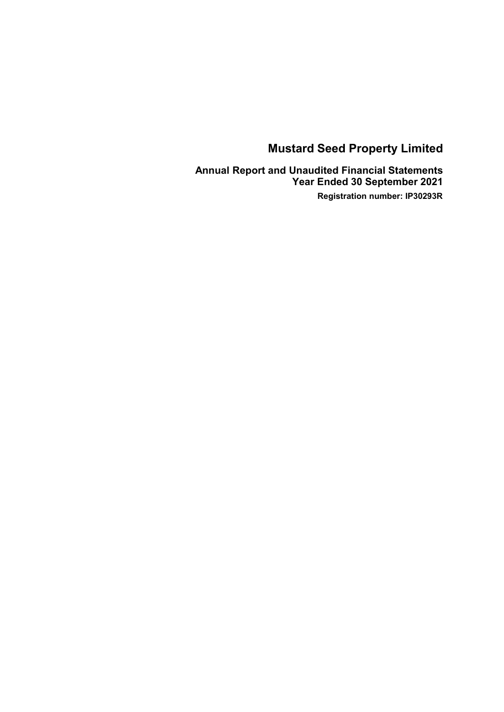**Annual Report and Unaudited Financial Statements Year Ended 30 September 2021 Registration number: IP30293R**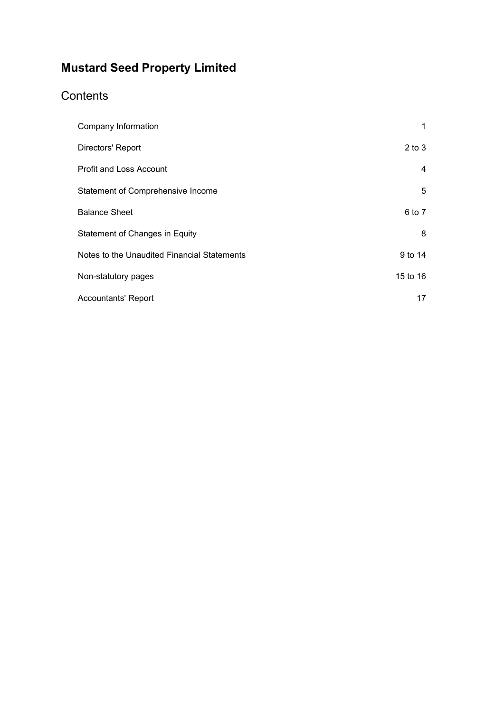# **Contents**

| Company Information                         | 1          |
|---------------------------------------------|------------|
| Directors' Report                           | $2$ to $3$ |
| <b>Profit and Loss Account</b>              | 4          |
| Statement of Comprehensive Income           | 5          |
| <b>Balance Sheet</b>                        | 6 to 7     |
| Statement of Changes in Equity              | 8          |
| Notes to the Unaudited Financial Statements | 9 to 14    |
| Non-statutory pages                         | 15 to 16   |
| <b>Accountants' Report</b>                  | 17         |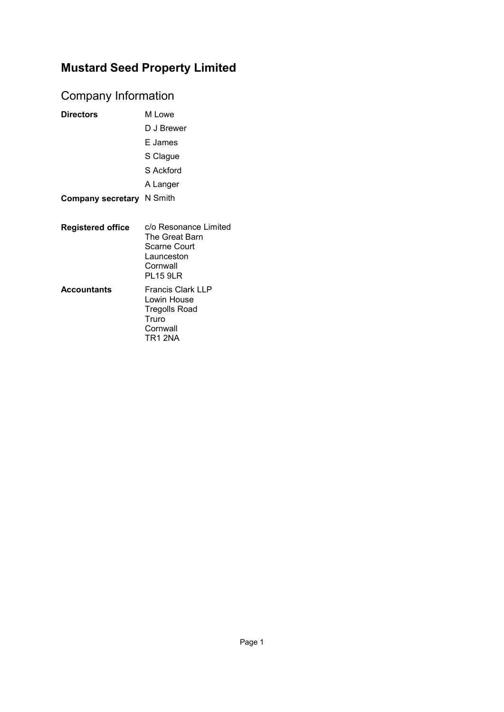# <span id="page-2-0"></span>Company Information

| <b>Directors</b>                 | M Lowe                                                                                               |
|----------------------------------|------------------------------------------------------------------------------------------------------|
|                                  | D J Brewer                                                                                           |
|                                  | E James                                                                                              |
|                                  | S Clague                                                                                             |
|                                  | S Ackford                                                                                            |
|                                  | A Langer                                                                                             |
| <b>Company secretary N Smith</b> |                                                                                                      |
|                                  |                                                                                                      |
| <b>Registered office</b>         | c/o Resonance Limited<br>The Great Barn<br>Scarne Court<br>Launceston<br>Cornwall<br><b>PL15 9LR</b> |
| <b>Accountants</b>               | <b>Francis Clark LLP</b><br>Lowin House<br>Tregolls Road<br>Truro<br>Cornwall<br>TR1 2NA             |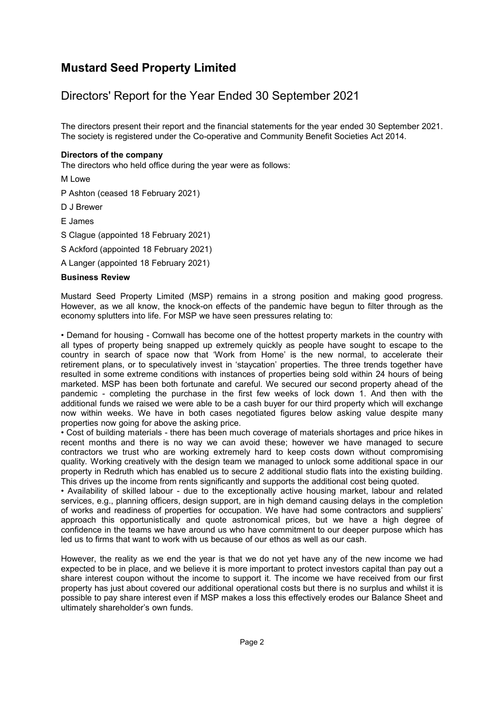### <span id="page-3-0"></span>Directors' Report for the Year Ended 30 September 2021

The directors present their report and the financial statements for the year ended 30 September 2021. The society is registered under the Co-operative and Community Benefit Societies Act 2014.

#### **Directors of the company**

The directors who held office during the year were as follows:

M Lowe

P Ashton (ceased 18 February 2021)

D J Brewer

E James

S Clague (appointed 18 February 2021)

S Ackford (appointed 18 February 2021)

A Langer (appointed 18 February 2021)

#### **Business Review**

Mustard Seed Property Limited (MSP) remains in a strong position and making good progress. However, as we all know, the knock-on effects of the pandemic have begun to filter through as the economy splutters into life. For MSP we have seen pressures relating to:

• Demand for housing - Cornwall has become one of the hottest property markets in the country with all types of property being snapped up extremely quickly as people have sought to escape to the country in search of space now that 'Work from Home' is the new normal, to accelerate their retirement plans, or to speculatively invest in 'staycation' properties. The three trends together have resulted in some extreme conditions with instances of properties being sold within 24 hours of being marketed. MSP has been both fortunate and careful. We secured our second property ahead of the pandemic - completing the purchase in the first few weeks of lock down 1. And then with the additional funds we raised we were able to be a cash buyer for our third property which will exchange now within weeks. We have in both cases negotiated figures below asking value despite many properties now going for above the asking price.

• Cost of building materials - there has been much coverage of materials shortages and price hikes in recent months and there is no way we can avoid these; however we have managed to secure contractors we trust who are working extremely hard to keep costs down without compromising quality. Working creatively with the design team we managed to unlock some additional space in our property in Redruth which has enabled us to secure 2 additional studio flats into the existing building. This drives up the income from rents significantly and supports the additional cost being quoted.

• Availability of skilled labour - due to the exceptionally active housing market, labour and related services, e.g., planning officers, design support, are in high demand causing delays in the completion of works and readiness of properties for occupation. We have had some contractors and suppliers' approach this opportunistically and quote astronomical prices, but we have a high degree of confidence in the teams we have around us who have commitment to our deeper purpose which has led us to firms that want to work with us because of our ethos as well as our cash.

However, the reality as we end the year is that we do not yet have any of the new income we had expected to be in place, and we believe it is more important to protect investors capital than pay out a share interest coupon without the income to support it. The income we have received from our first property has just about covered our additional operational costs but there is no surplus and whilst it is possible to pay share interest even if MSP makes a loss this effectively erodes our Balance Sheet and ultimately shareholder's own funds.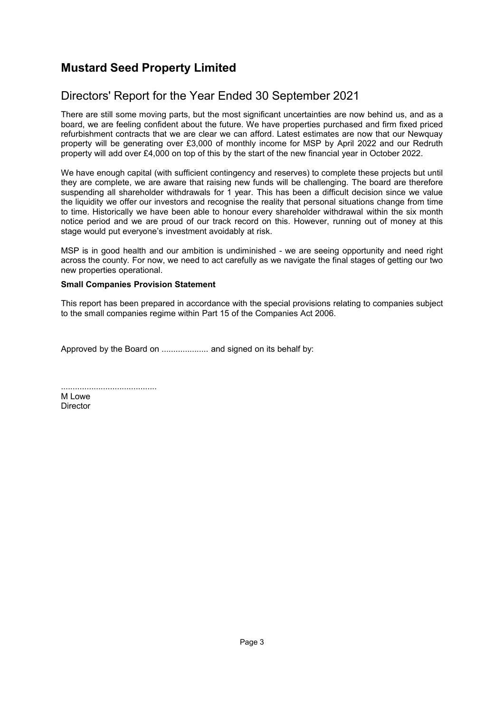### Directors' Report for the Year Ended 30 September 2021

There are still some moving parts, but the most significant uncertainties are now behind us, and as a board, we are feeling confident about the future. We have properties purchased and firm fixed priced refurbishment contracts that we are clear we can afford. Latest estimates are now that our Newquay property will be generating over £3,000 of monthly income for MSP by April 2022 and our Redruth property will add over £4,000 on top of this by the start of the new financial year in October 2022.

We have enough capital (with sufficient contingency and reserves) to complete these projects but until they are complete, we are aware that raising new funds will be challenging. The board are therefore suspending all shareholder withdrawals for 1 year. This has been a difficult decision since we value the liquidity we offer our investors and recognise the reality that personal situations change from time to time. Historically we have been able to honour every shareholder withdrawal within the six month notice period and we are proud of our track record on this. However, running out of money at this stage would put everyone's investment avoidably at risk.

MSP is in good health and our ambition is undiminished - we are seeing opportunity and need right across the county. For now, we need to act carefully as we navigate the final stages of getting our two new properties operational.

#### **Small Companies Provision Statement**

This report has been prepared in accordance with the special provisions relating to companies subject to the small companies regime within Part 15 of the Companies Act 2006.

Approved by the Board on .................... and signed on its behalf by:

| M Lowe   |  |  |  |  |  |
|----------|--|--|--|--|--|
| Director |  |  |  |  |  |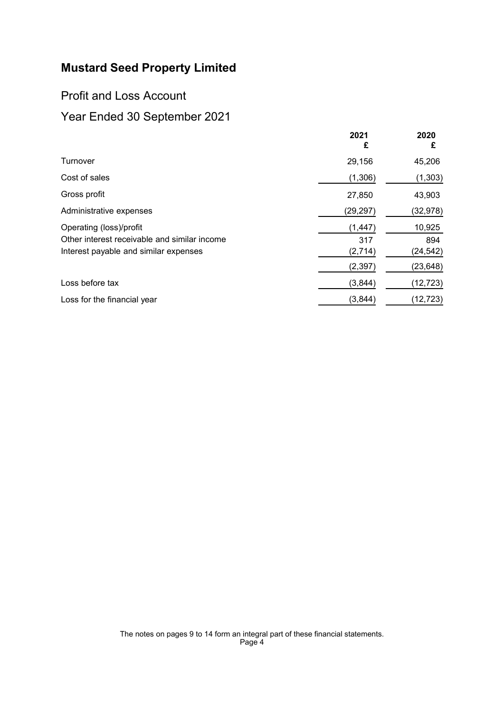### <span id="page-5-1"></span><span id="page-5-0"></span>Profit and Loss Account

|                                              | 2021<br>£ | 2020<br>£ |
|----------------------------------------------|-----------|-----------|
| Turnover                                     | 29,156    | 45,206    |
| Cost of sales                                | (1,306)   | (1, 303)  |
| Gross profit                                 | 27,850    | 43,903    |
| Administrative expenses                      | (29, 297) | (32, 978) |
| Operating (loss)/profit                      | (1, 447)  | 10,925    |
| Other interest receivable and similar income | 317       | 894       |
| Interest payable and similar expenses        | (2,714)   | (24,542)  |
|                                              | (2, 397)  | (23, 648) |
| Loss before tax                              | (3, 844)  | (12, 723) |
| Loss for the financial year                  | (3,844)   | (12, 723) |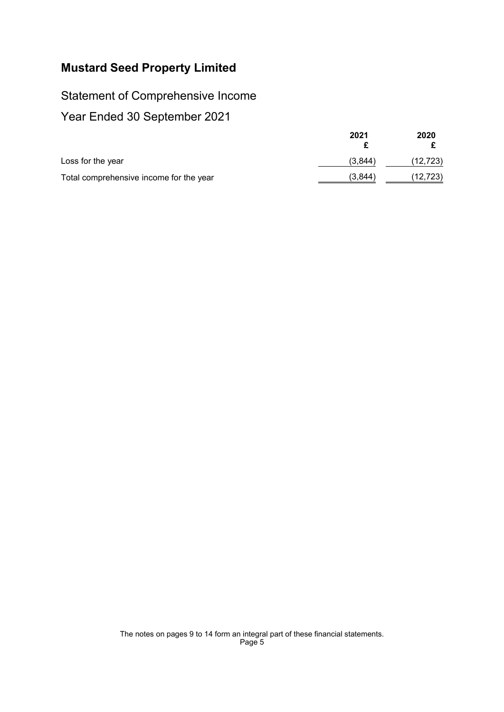# <span id="page-6-0"></span>Statement of Comprehensive Income

|                                         | 2021    | 2020     |
|-----------------------------------------|---------|----------|
| Loss for the year                       | (3,844) | (12,723) |
| Total comprehensive income for the year | (3,844) | (12,723) |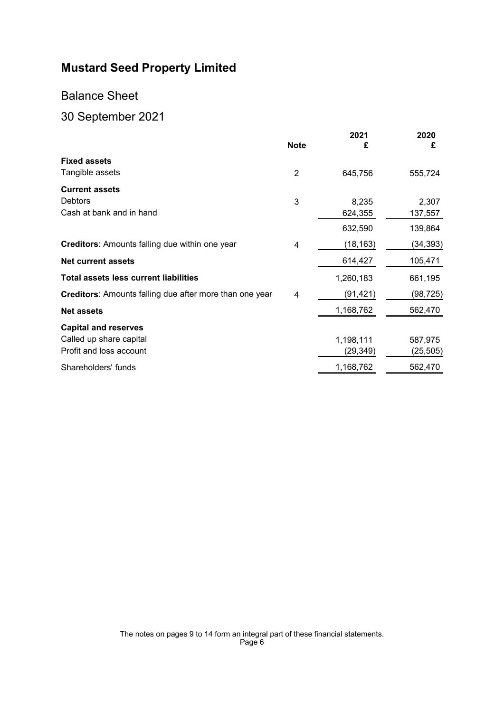### Balance Sheet

# <span id="page-7-0"></span>30 September 2021

|                                                                | <b>Note</b> | 2021<br>£ | 2020<br>£ |
|----------------------------------------------------------------|-------------|-----------|-----------|
| <b>Fixed assets</b>                                            |             |           |           |
| Tangible assets                                                | 2           | 645,756   | 555,724   |
| <b>Current assets</b>                                          |             |           |           |
| <b>Debtors</b>                                                 | 3           | 8,235     | 2,307     |
| Cash at bank and in hand                                       |             | 624,355   | 137,557   |
|                                                                |             | 632,590   | 139,864   |
| <b>Creditors:</b> Amounts falling due within one year          | 4           | (18,163)  | (34, 393) |
| <b>Net current assets</b>                                      |             | 614,427   | 105,471   |
| <b>Total assets less current liabilities</b>                   |             | 1,260,183 | 661,195   |
| <b>Creditors:</b> Amounts falling due after more than one year | 4           | (91,421)  | (98,725)  |
| <b>Net assets</b>                                              |             | 1,168,762 | 562,470   |
| <b>Capital and reserves</b>                                    |             |           |           |
| Called up share capital                                        |             | 1,198,111 | 587,975   |
| Profit and loss account                                        |             | (29,349)  | (25,505)  |
| Shareholders' funds                                            |             | 1,168,762 | 562,470   |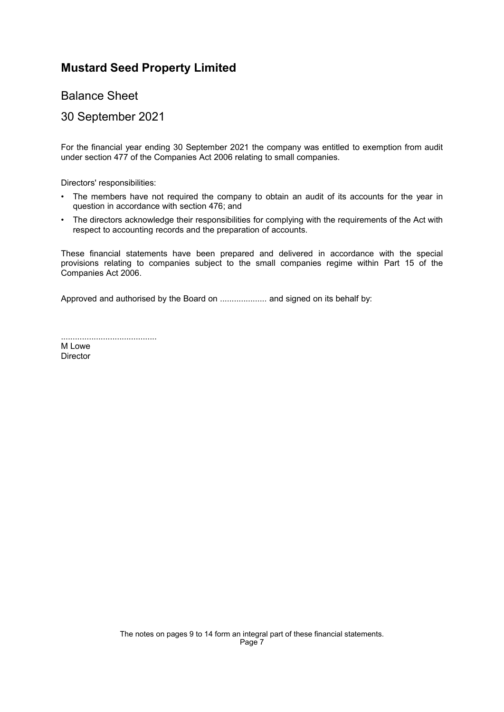Balance Sheet

### 30 September 2021

For the financial year ending 30 September 2021 the company was entitled to exemption from audit under section 477 of the Companies Act 2006 relating to small companies.

Directors' responsibilities:

- The members have not required the company to obtain an audit of its accounts for the year in question in accordance with section 476; and
- The directors acknowledge their responsibilities for complying with the requirements of the Act with respect to accounting records and the preparation of accounts.

These financial statements have been prepared and delivered in accordance with the special provisions relating to companies subject to the small companies regime within Part 15 of the Companies Act 2006.

Approved and authorised by the Board on .................... and signed on its behalf by:

.........................................

M Lowe **Director**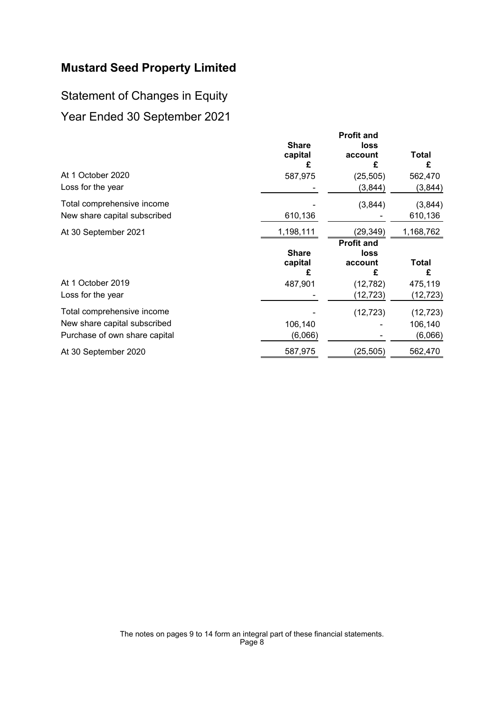# <span id="page-9-0"></span>Statement of Changes in Equity Year Ended 30 September 2021

| At 1 October 2020<br>Loss for the year                                                      | <b>Share</b><br>capital<br>£<br>587,975   | <b>Profit and</b><br>loss<br>account<br>£<br>(25, 505)<br>(3,844) | Total<br>£<br>562,470<br>(3,844) |
|---------------------------------------------------------------------------------------------|-------------------------------------------|-------------------------------------------------------------------|----------------------------------|
| Total comprehensive income<br>New share capital subscribed                                  | 610,136                                   | (3,844)                                                           | (3,844)<br>610,136               |
| At 30 September 2021                                                                        | 1,198,111<br><b>Share</b><br>capital<br>£ | (29, 349)<br><b>Profit and</b><br>loss<br>account<br>£            | 1,168,762<br>Total<br>£          |
| At 1 October 2019<br>Loss for the year                                                      | 487,901                                   | (12, 782)<br>(12,723)                                             | 475,119<br>(12,723)              |
| Total comprehensive income<br>New share capital subscribed<br>Purchase of own share capital | 106,140<br>(6,066)                        | (12, 723)                                                         | (12, 723)<br>106,140<br>(6,066)  |
| At 30 September 2020                                                                        | 587,975                                   | (25,505)                                                          | 562,470                          |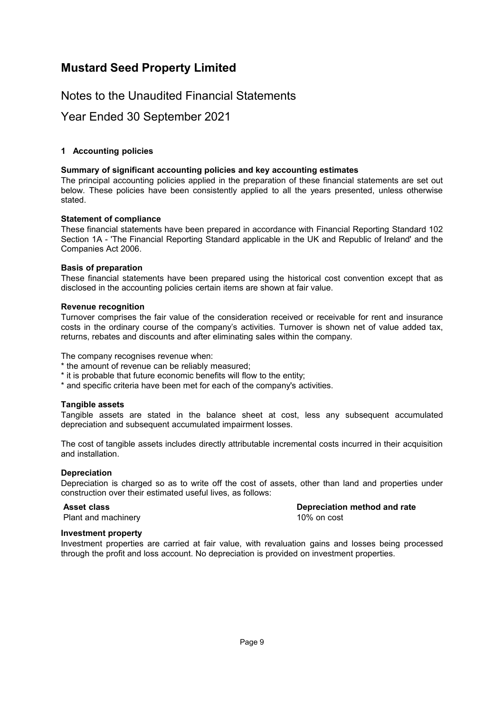### Notes to the Unaudited Financial Statements

### <span id="page-10-0"></span>Year Ended 30 September 2021

#### **[1](#page-10-0) Accounting policies**

#### **Summary of significant accounting policies and key accounting estimates**

The principal accounting policies applied in the preparation of these financial statements are set out below. These policies have been consistently applied to all the years presented, unless otherwise stated.

#### **Statement of compliance**

These financial statements have been prepared in accordance with Financial Reporting Standard 102 Section 1A - 'The Financial Reporting Standard applicable in the UK and Republic of Ireland' and the Companies Act 2006.

#### **Basis of preparation**

These financial statements have been prepared using the historical cost convention except that as disclosed in the accounting policies certain items are shown at fair value.

#### **Revenue recognition**

Turnover comprises the fair value of the consideration received or receivable for rent and insurance costs in the ordinary course of the company's activities. Turnover is shown net of value added tax, returns, rebates and discounts and after eliminating sales within the company.

The company recognises revenue when:

- \* the amount of revenue can be reliably measured;
- \* it is probable that future economic benefits will flow to the entity;
- \* and specific criteria have been met for each of the company's activities.

#### **Tangible assets**

Tangible assets are stated in the balance sheet at cost, less any subsequent accumulated depreciation and subsequent accumulated impairment losses.

The cost of tangible assets includes directly attributable incremental costs incurred in their acquisition and installation.

#### **Depreciation**

Depreciation is charged so as to write off the cost of assets, other than land and properties under construction over their estimated useful lives, as follows:

Plant and machinery **10% on cost** 10% on cost

**Asset class Depreciation method and rate**

#### **Investment property**

Investment properties are carried at fair value, with revaluation gains and losses being processed through the profit and loss account. No depreciation is provided on investment properties.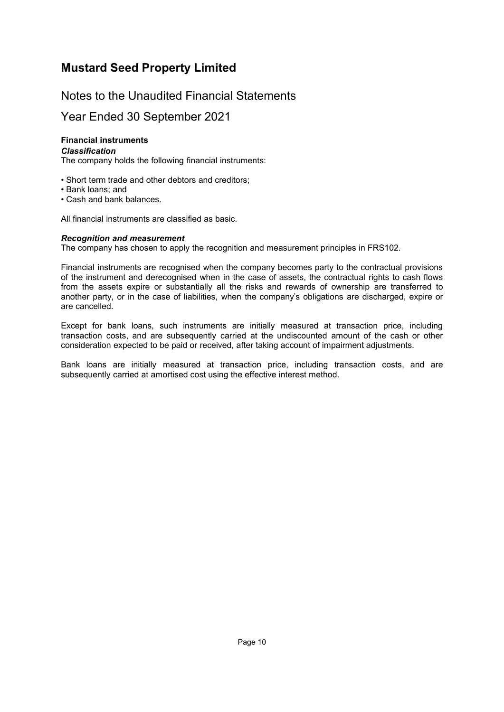### Notes to the Unaudited Financial Statements

### Year Ended 30 September 2021

### **Financial instruments**

#### *Classification*

The company holds the following financial instruments:

- Short term trade and other debtors and creditors;
- Bank loans; and
- Cash and bank balances.

All financial instruments are classified as basic.

#### *Recognition and measurement*

The company has chosen to apply the recognition and measurement principles in FRS102.

Financial instruments are recognised when the company becomes party to the contractual provisions of the instrument and derecognised when in the case of assets, the contractual rights to cash flows from the assets expire or substantially all the risks and rewards of ownership are transferred to another party, or in the case of liabilities, when the company's obligations are discharged, expire or are cancelled.

Except for bank loans, such instruments are initially measured at transaction price, including transaction costs, and are subsequently carried at the undiscounted amount of the cash or other consideration expected to be paid or received, after taking account of impairment adjustments.

Bank loans are initially measured at transaction price, including transaction costs, and are subsequently carried at amortised cost using the effective interest method.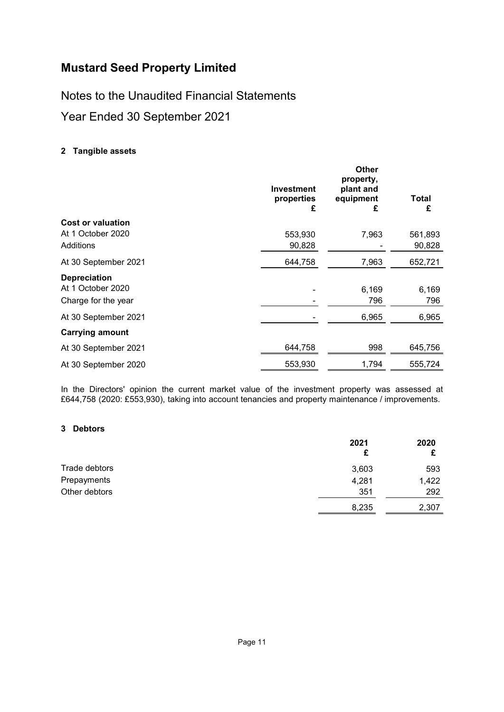Notes to the Unaudited Financial Statements

<span id="page-12-0"></span>Year Ended 30 September 2021

### **[2](#page-12-0) Tangible assets**

|                                                                 | <b>Investment</b><br>properties<br>£ | <b>Other</b><br>property,<br>plant and<br>equipment<br>£ | Total<br>£        |
|-----------------------------------------------------------------|--------------------------------------|----------------------------------------------------------|-------------------|
| <b>Cost or valuation</b><br>At 1 October 2020<br>Additions      | 553,930<br>90,828                    | 7,963                                                    | 561,893<br>90,828 |
| At 30 September 2021                                            | 644,758                              | 7,963                                                    | 652,721           |
| <b>Depreciation</b><br>At 1 October 2020<br>Charge for the year |                                      | 6,169<br>796                                             | 6,169<br>796      |
| At 30 September 2021                                            |                                      | 6,965                                                    | 6,965             |
| <b>Carrying amount</b>                                          |                                      |                                                          |                   |
| At 30 September 2021                                            | 644,758                              | 998                                                      | 645,756           |
| At 30 September 2020                                            | 553,930                              | 1,794                                                    | 555,724           |

<span id="page-12-1"></span>In the Directors' opinion the current market value of the investment property was assessed at £644,758 (2020: £553,930), taking into account tenancies and property maintenance / improvements.

#### **[3](#page-12-1) Debtors**

|               | 2021<br>£ | 2020  |
|---------------|-----------|-------|
| Trade debtors | 3,603     | 593   |
| Prepayments   | 4,281     | 1,422 |
| Other debtors | 351       | 292   |
|               | 8,235     | 2,307 |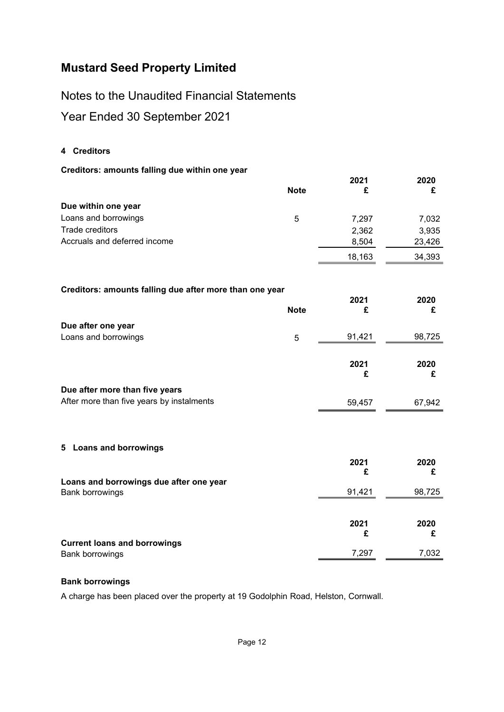Notes to the Unaudited Financial Statements

<span id="page-13-0"></span>Year Ended 30 September 2021

### **[4](#page-13-0) Creditors**

### **Creditors: amounts falling due within one year**

|                                                         | <b>Note</b> | 2021<br>£ | 2020<br>£ |
|---------------------------------------------------------|-------------|-----------|-----------|
| Due within one year                                     |             |           |           |
| Loans and borrowings                                    | 5           | 7,297     | 7,032     |
| Trade creditors                                         |             | 2,362     | 3,935     |
| Accruals and deferred income                            |             | 8,504     | 23,426    |
|                                                         |             | 18,163    | 34,393    |
|                                                         |             |           |           |
| Creditors: amounts falling due after more than one year |             | 2021      | 2020      |
|                                                         | <b>Note</b> | £         | £         |
| Due after one year                                      |             |           |           |
| Loans and borrowings                                    | 5           | 91,421    | 98,725    |
|                                                         |             |           |           |
|                                                         |             | 2021      | 2020      |
|                                                         |             | £         | £         |
| Due after more than five years                          |             |           |           |
| After more than five years by instalments               |             | 59,457    | 67,942    |
|                                                         |             |           |           |
|                                                         |             |           |           |
| 5 Loans and borrowings                                  |             |           |           |
|                                                         |             | 2021      | 2020      |
|                                                         |             | £         | £         |
| Loans and borrowings due after one year                 |             |           |           |
| <b>Bank borrowings</b>                                  |             | 91,421    | 98,725    |
|                                                         |             |           |           |
|                                                         |             | 2021      | 2020      |
| <b>Current loans and borrowings</b>                     |             | £         | £         |
| <b>Bank borrowings</b>                                  |             | 7,297     | 7,032     |

#### <span id="page-13-1"></span>**Bank borrowings**

A charge has been placed over the property at 19 Godolphin Road, Helston, Cornwall.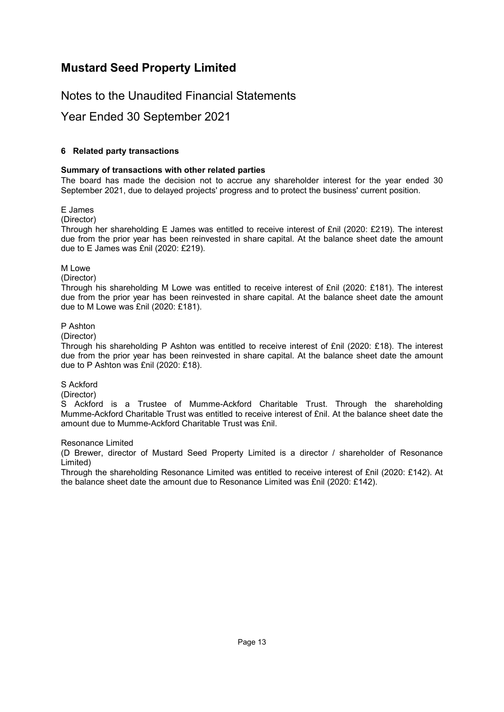### Notes to the Unaudited Financial Statements

### <span id="page-14-0"></span>Year Ended 30 September 2021

#### **[6](#page-14-0) Related party transactions**

#### **Summary of transactions with other related parties**

The board has made the decision not to accrue any shareholder interest for the year ended 30 September 2021, due to delayed projects' progress and to protect the business' current position.

#### E James

(Director)

Through her shareholding E James was entitled to receive interest of £nil (2020: £219). The interest due from the prior year has been reinvested in share capital. At the balance sheet date the amount due to E James was £nil (2020: £219).

#### M Lowe

#### (Director)

Through his shareholding M Lowe was entitled to receive interest of £nil (2020: £181). The interest due from the prior year has been reinvested in share capital. At the balance sheet date the amount due to M Lowe was £nil (2020: £181).

#### P Ashton

(Director)

Through his shareholding P Ashton was entitled to receive interest of £nil (2020: £18). The interest due from the prior year has been reinvested in share capital. At the balance sheet date the amount due to P Ashton was £nil (2020: £18).

#### S Ackford

(Director)

S Ackford is a Trustee of Mumme-Ackford Charitable Trust. Through the shareholding Mumme-Ackford Charitable Trust was entitled to receive interest of £nil. At the balance sheet date the amount due to Mumme-Ackford Charitable Trust was £nil.

#### Resonance Limited

(D Brewer, director of Mustard Seed Property Limited is a director / shareholder of Resonance Limited)

Through the shareholding Resonance Limited was entitled to receive interest of £nil (2020: £142). At the balance sheet date the amount due to Resonance Limited was £nil (2020: £142).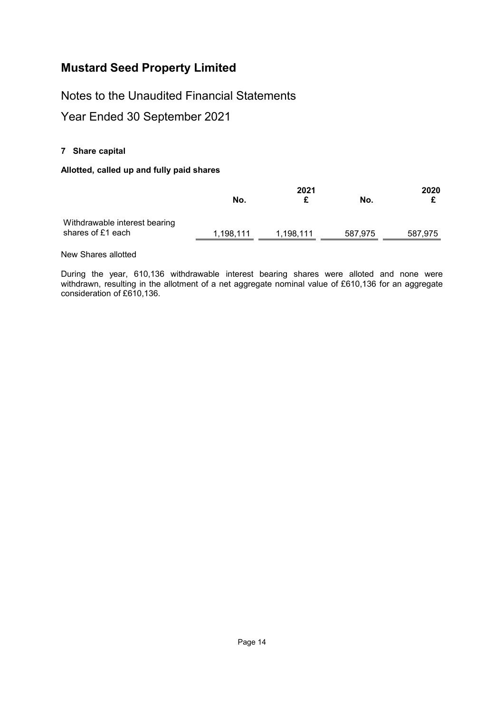Notes to the Unaudited Financial Statements

<span id="page-15-0"></span>Year Ended 30 September 2021

### **[7](#page-15-0) Share capital**

#### **Allotted, called up and fully paid shares**

|                                                    | 2021      |           |         | 2020    |  |
|----------------------------------------------------|-----------|-----------|---------|---------|--|
|                                                    | No.       | £         | No.     |         |  |
| Withdrawable interest bearing<br>shares of £1 each | 1,198,111 | 1,198,111 | 587,975 | 587,975 |  |

New Shares allotted

During the year, 610,136 withdrawable interest bearing shares were alloted and none were withdrawn, resulting in the allotment of a net aggregate nominal value of £610,136 for an aggregate consideration of £610,136.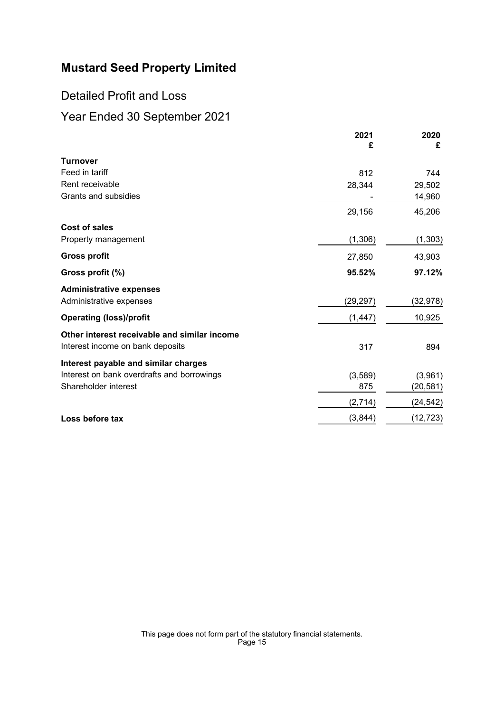### <span id="page-16-0"></span>Detailed Profit and Loss

|                                              | 2021<br>£ | 2020<br>£ |
|----------------------------------------------|-----------|-----------|
| <b>Turnover</b>                              |           |           |
| Feed in tariff                               | 812       | 744       |
| Rent receivable                              | 28,344    | 29,502    |
| Grants and subsidies                         |           | 14,960    |
|                                              | 29,156    | 45,206    |
| Cost of sales                                |           |           |
| Property management                          | (1,306)   | (1, 303)  |
| <b>Gross profit</b>                          | 27,850    | 43,903    |
| Gross profit (%)                             | 95.52%    | 97.12%    |
| <b>Administrative expenses</b>               |           |           |
| Administrative expenses                      | (29, 297) | (32,978)  |
| <b>Operating (loss)/profit</b>               | (1, 447)  | 10,925    |
| Other interest receivable and similar income |           |           |
| Interest income on bank deposits             | 317       | 894       |
| Interest payable and similar charges         |           |           |
| Interest on bank overdrafts and borrowings   | (3,589)   | (3,961)   |
| Shareholder interest                         | 875       | (20,581)  |
|                                              | (2,714)   | (24,542)  |
| Loss before tax                              | (3,844)   | (12,723)  |
|                                              |           |           |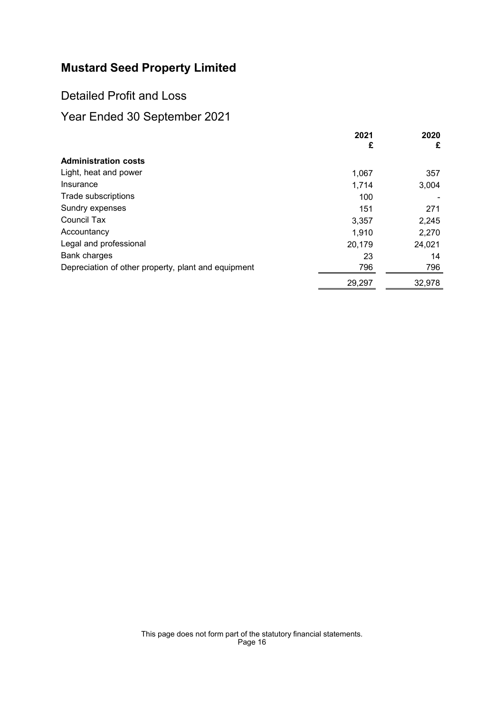Detailed Profit and Loss

|                                                     | 2021<br>£ | 2020<br>£ |
|-----------------------------------------------------|-----------|-----------|
| <b>Administration costs</b>                         |           |           |
| Light, heat and power                               | 1,067     | 357       |
| Insurance                                           | 1,714     | 3,004     |
| Trade subscriptions                                 | 100       |           |
| Sundry expenses                                     | 151       | 271       |
| Council Tax                                         | 3,357     | 2,245     |
| Accountancy                                         | 1,910     | 2,270     |
| Legal and professional                              | 20,179    | 24,021    |
| <b>Bank charges</b>                                 | 23        | 14        |
| Depreciation of other property, plant and equipment | 796       | 796       |
|                                                     | 29,297    | 32,978    |